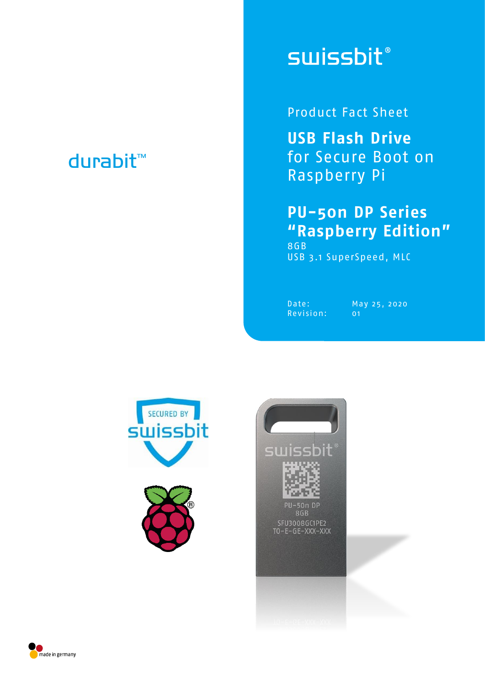## durabit™

# **swissbit®**

Product Fact Sheet

**USB Flash Drive** for Secure Boot on Raspberry Pi

#### **PU-50n DP Series "Raspberry Edition"** 8GB

USB 3.1 SuperSpeed, MLC

Revision: 01

Date: May 25, 2020